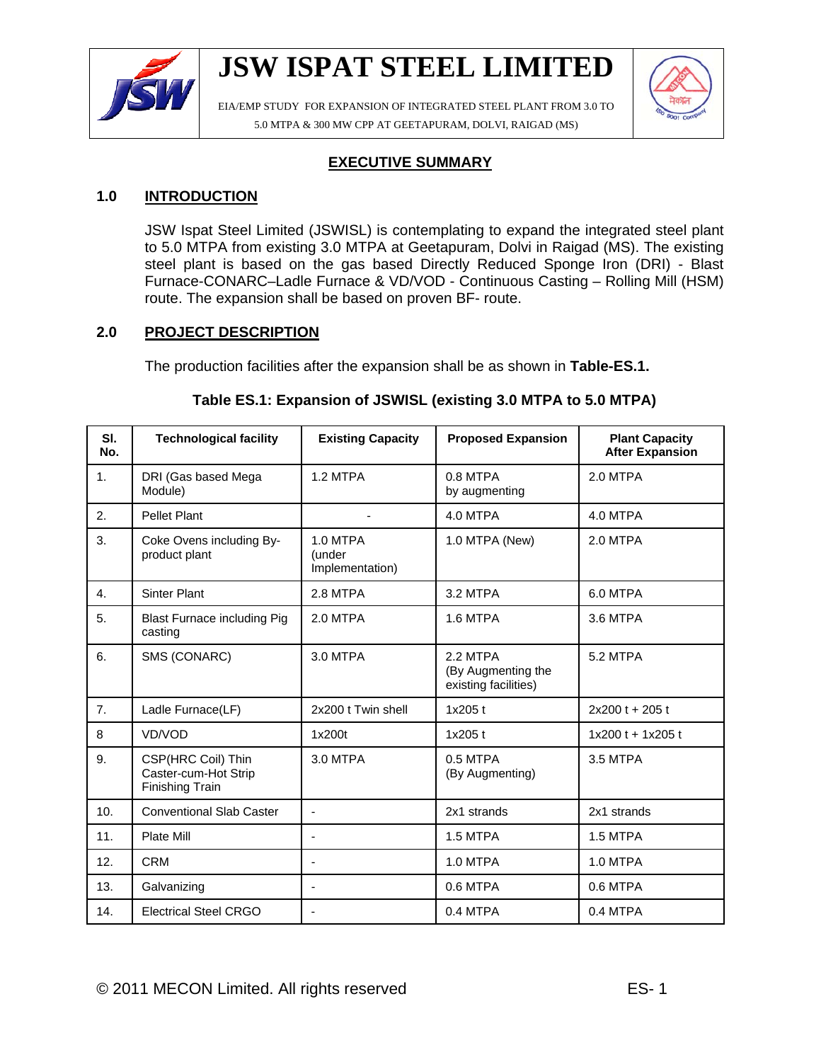

EIA/EMP STUDY FOR EXPANSION OF INTEGRATED STEEL PLANT FROM 3.0 TO 5.0 MTPA & 300 MW CPP AT GEETAPURAM, DOLVI, RAIGAD (MS)



## **EXECUTIVE SUMMARY**

## **1.0 INTRODUCTION**

JSW Ispat Steel Limited (JSWISL) is contemplating to expand the integrated steel plant to 5.0 MTPA from existing 3.0 MTPA at Geetapuram, Dolvi in Raigad (MS). The existing steel plant is based on the gas based Directly Reduced Sponge Iron (DRI) - Blast Furnace-CONARC–Ladle Furnace & VD/VOD - Continuous Casting – Rolling Mill (HSM) route. The expansion shall be based on proven BF- route.

## **2.0 PROJECT DESCRIPTION**

The production facilities after the expansion shall be as shown in **Table-ES.1.**

### **Table ES.1: Expansion of JSWISL (existing 3.0 MTPA to 5.0 MTPA)**

| SI.<br>No.       | <b>Technological facility</b>                                 | <b>Existing Capacity</b>              | <b>Proposed Expansion</b>                              | <b>Plant Capacity</b><br><b>After Expansion</b> |  |
|------------------|---------------------------------------------------------------|---------------------------------------|--------------------------------------------------------|-------------------------------------------------|--|
| $\mathbf{1}$ .   | DRI (Gas based Mega<br>Module)                                | 1.2 MTPA                              | $0.8$ MTPA<br>by augmenting                            | 2.0 MTPA                                        |  |
| 2.               | <b>Pellet Plant</b>                                           |                                       | 4.0 MTPA                                               | 4.0 MTPA                                        |  |
| 3.               | Coke Ovens including By-<br>product plant                     | 1.0 MTPA<br>(under<br>Implementation) | 1.0 MTPA (New)                                         | 2.0 MTPA                                        |  |
| $\overline{4}$ . | <b>Sinter Plant</b>                                           | 2.8 MTPA                              | 3.2 MTPA                                               | 6.0 MTPA                                        |  |
| 5.               | <b>Blast Furnace including Pig</b><br>casting                 | 2.0 MTPA                              | 1.6 MTPA                                               | 3.6 MTPA                                        |  |
| 6.               | SMS (CONARC)                                                  | 3.0 MTPA                              | 2.2 MTPA<br>(By Augmenting the<br>existing facilities) | 5.2 MTPA                                        |  |
| 7 <sub>1</sub>   | Ladle Furnace(LF)                                             | 2x200 t Twin shell                    | 1x205 t                                                | 2x200 t + 205 t                                 |  |
| 8                | VD/VOD                                                        | 1x200t                                | 1x205 t                                                | $1x200t + 1x205t$                               |  |
| 9.               | CSP(HRC Coil) Thin<br>Caster-cum-Hot Strip<br>Finishing Train | 3.0 MTPA                              | 0.5 MTPA<br>(By Augmenting)                            | 3.5 MTPA                                        |  |
| 10.              | <b>Conventional Slab Caster</b>                               | ä,                                    | 2x1 strands                                            | 2x1 strands                                     |  |
| 11.              | Plate Mill                                                    | $\blacksquare$                        | 1.5 MTPA                                               | 1.5 MTPA                                        |  |
| 12.              | <b>CRM</b>                                                    | ä,                                    | 1.0 MTPA                                               | 1.0 MTPA                                        |  |
| 13.              | Galvanizing                                                   | ٠                                     | 0.6 MTPA                                               | 0.6 MTPA                                        |  |
| 14.              | <b>Electrical Steel CRGO</b>                                  | $\overline{\phantom{a}}$              | 0.4 MTPA                                               | 0.4 MTPA                                        |  |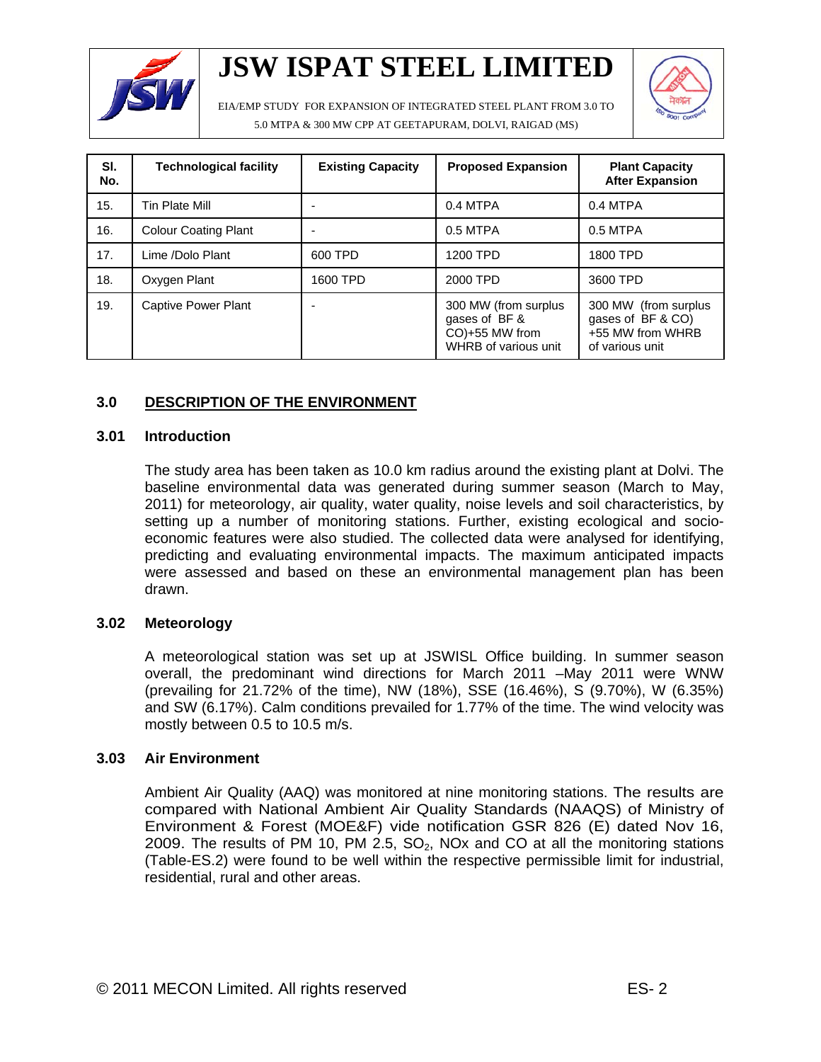

EIA/EMP STUDY FOR EXPANSION OF INTEGRATED STEEL PLANT FROM 3.0 TO 5.0 MTPA & 300 MW CPP AT GEETAPURAM, DOLVI, RAIGAD (MS)



| SI.<br>No. | <b>Technological facility</b> | <b>Existing Capacity</b> | <b>Proposed Expansion</b>                                                       | <b>Plant Capacity</b><br><b>After Expansion</b>                                  |
|------------|-------------------------------|--------------------------|---------------------------------------------------------------------------------|----------------------------------------------------------------------------------|
| 15.        | Tin Plate Mill                | ۰                        | 0.4 MTPA                                                                        | 0.4 MTPA                                                                         |
| 16.        | <b>Colour Coating Plant</b>   | ٠                        | $0.5$ MTPA                                                                      | $0.5$ MTPA                                                                       |
| 17.        | Lime /Dolo Plant              | 600 TPD                  | 1200 TPD                                                                        | 1800 TPD                                                                         |
| 18.        | Oxygen Plant                  | 1600 TPD                 | 2000 TPD                                                                        | 3600 TPD                                                                         |
| 19.        | Captive Power Plant           | ۰                        | 300 MW (from surplus<br>gases of BF &<br>CO)+55 MW from<br>WHRB of various unit | 300 MW (from surplus<br>gases of BF & CO)<br>+55 MW from WHRB<br>of various unit |

## **3.0 DESCRIPTION OF THE ENVIRONMENT**

### **3.01 Introduction**

The study area has been taken as 10.0 km radius around the existing plant at Dolvi. The baseline environmental data was generated during summer season (March to May, 2011) for meteorology, air quality, water quality, noise levels and soil characteristics, by setting up a number of monitoring stations. Further, existing ecological and socioeconomic features were also studied. The collected data were analysed for identifying, predicting and evaluating environmental impacts. The maximum anticipated impacts were assessed and based on these an environmental management plan has been drawn.

### **3.02 Meteorology**

A meteorological station was set up at JSWISL Office building. In summer season overall, the predominant wind directions for March 2011 –May 2011 were WNW (prevailing for 21.72% of the time), NW (18%), SSE (16.46%), S (9.70%), W (6.35%) and SW (6.17%). Calm conditions prevailed for 1.77% of the time. The wind velocity was mostly between 0.5 to 10.5 m/s.

### **3.03 Air Environment**

Ambient Air Quality (AAQ) was monitored at nine monitoring stations. The results are compared with National Ambient Air Quality Standards (NAAQS) of Ministry of Environment & Forest (MOE&F) vide notification GSR 826 (E) dated Nov 16, 2009. The results of PM 10, PM 2.5,  $SO<sub>2</sub>$ , NOx and CO at all the monitoring stations (Table-ES.2) were found to be well within the respective permissible limit for industrial, residential, rural and other areas.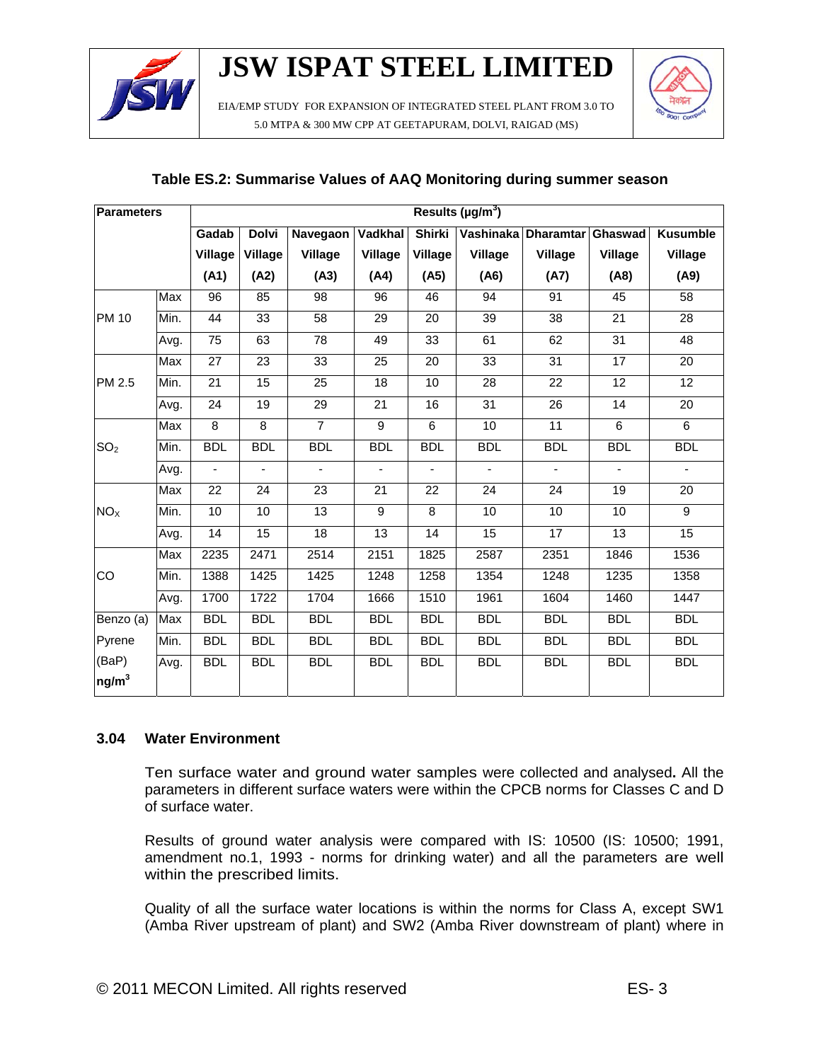

EIA/EMP STUDY FOR EXPANSION OF INTEGRATED STEEL PLANT FROM 3.0 TO 5.0 MTPA & 300 MW CPP AT GEETAPURAM, DOLVI, RAIGAD (MS)



| <b>Parameters</b>          |      | Results ( $\mu$ g/m <sup>3</sup> ) |                 |                 |                 |                |                 |                     |                 |                 |
|----------------------------|------|------------------------------------|-----------------|-----------------|-----------------|----------------|-----------------|---------------------|-----------------|-----------------|
|                            |      | Gadab                              | <b>Dolvi</b>    | Navegaon        | Vadkhal         | <b>Shirki</b>  |                 | Vashinaka Dharamtar | Ghaswad         | <b>Kusumble</b> |
|                            |      | Village                            | Village         | Village         | Village         | Village        | Village         | <b>Village</b>      | Village         | <b>Village</b>  |
|                            |      | (A1)                               | (A2)            | (A3)            | (A4)            | (A5)           | (A6)            | (A7)                | (A8)            | (A9)            |
|                            | Max  | 96                                 | 85              | 98              | 96              | 46             | 94              | 91                  | 45              | 58              |
| <b>PM 10</b>               | Min. | 44                                 | 33              | 58              | 29              | 20             | 39              | 38                  | 21              | 28              |
|                            | Avg. | 75                                 | 63              | 78              | 49              | 33             | 61              | 62                  | 31              | 48              |
|                            | Max  | 27                                 | 23              | 33              | 25              | 20             | 33              | 31                  | 17              | 20              |
| PM 2.5                     | Min. | 21                                 | $\overline{15}$ | $\overline{25}$ | $\overline{18}$ | 10             | $\overline{28}$ | $\overline{22}$     | $\overline{12}$ | $\overline{12}$ |
|                            | Avg. | 24                                 | 19              | 29              | 21              | 16             | 31              | 26                  | 14              | 20              |
|                            | Max  | 8                                  | $\overline{8}$  | $\overline{7}$  | $\overline{9}$  | $\overline{6}$ | 10              | 11                  | $\overline{6}$  | $\overline{6}$  |
| SO <sub>2</sub>            | Min. | <b>BDL</b>                         | <b>BDL</b>      | <b>BDL</b>      | <b>BDL</b>      | <b>BDL</b>     | <b>BDL</b>      | <b>BDL</b>          | <b>BDL</b>      | <b>BDL</b>      |
|                            | Avg. | $\overline{\phantom{a}}$           | $\sim$          | $\blacksquare$  | ۰               | $\blacksquare$ | $\blacksquare$  | $\blacksquare$      | $\blacksquare$  | $\frac{1}{2}$   |
|                            | Max  | 22                                 | 24              | 23              | 21              | 22             | 24              | 24                  | 19              | 20              |
| NO <sub>X</sub>            | Min. | 10                                 | 10              | 13              | 9               | 8              | 10              | 10                  | 10              | 9               |
|                            | Avg. | 14                                 | 15              | 18              | 13              | 14             | 15              | 17                  | 13              | 15              |
|                            | Max  | 2235                               | 2471            | 2514            | 2151            | 1825           | 2587            | 2351                | 1846            | 1536            |
| CO                         | Min. | 1388                               | 1425            | 1425            | 1248            | 1258           | 1354            | 1248                | 1235            | 1358            |
|                            | Avg. | 1700                               | 1722            | 1704            | 1666            | 1510           | 1961            | 1604                | 1460            | 1447            |
| Benzo (a)                  | Max  | <b>BDL</b>                         | <b>BDL</b>      | <b>BDL</b>      | <b>BDL</b>      | <b>BDL</b>     | <b>BDL</b>      | <b>BDL</b>          | <b>BDL</b>      | <b>BDL</b>      |
| Pyrene                     | Min. | <b>BDL</b>                         | <b>BDL</b>      | <b>BDL</b>      | <b>BDL</b>      | <b>BDL</b>     | <b>BDL</b>      | <b>BDL</b>          | <b>BDL</b>      | <b>BDL</b>      |
| (BaP)<br>ng/m <sup>3</sup> | Avg. | <b>BDL</b>                         | <b>BDL</b>      | <b>BDL</b>      | <b>BDL</b>      | <b>BDL</b>     | <b>BDL</b>      | <b>BDL</b>          | <b>BDL</b>      | <b>BDL</b>      |

## **Table ES.2: Summarise Values of AAQ Monitoring during summer season**

### **3.04 Water Environment**

Ten surface water and ground water samples were collected and analysed**.** All the parameters in different surface waters were within the CPCB norms for Classes C and D of surface water.

Results of ground water analysis were compared with IS: 10500 (IS: 10500; 1991, amendment no.1, 1993 - norms for drinking water) and all the parameters are well within the prescribed limits.

Quality of all the surface water locations is within the norms for Class A, except SW1 (Amba River upstream of plant) and SW2 (Amba River downstream of plant) where in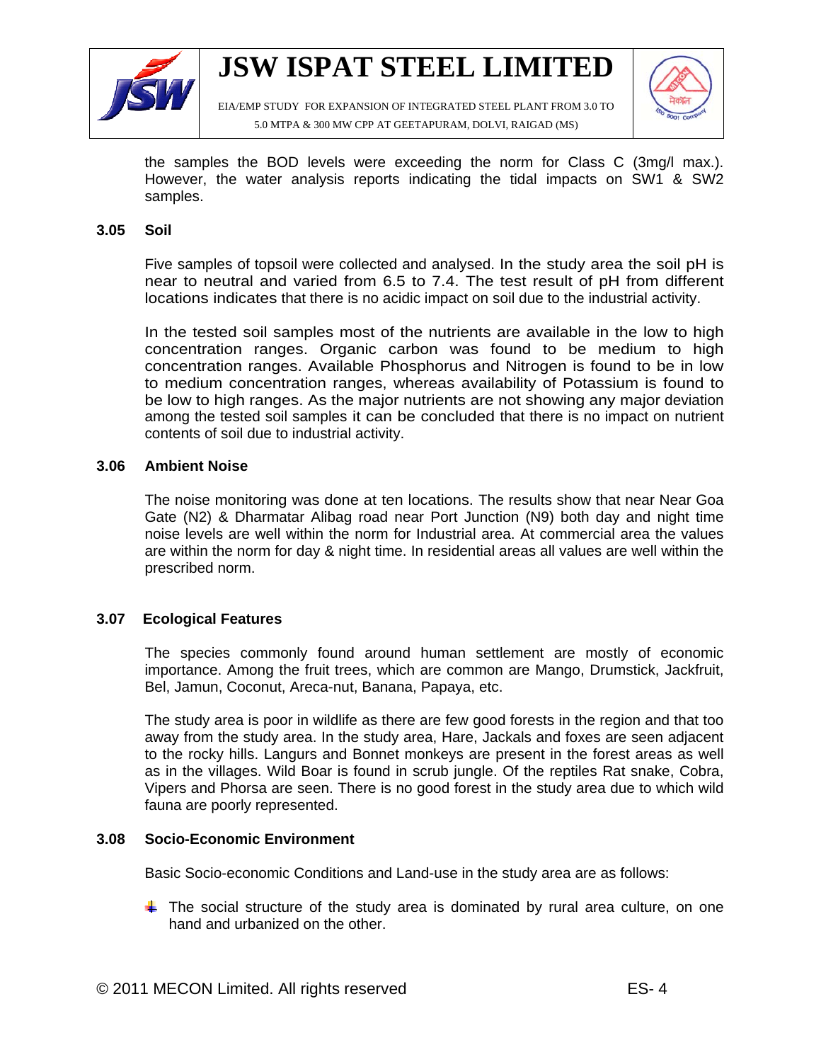

EIA/EMP STUDY FOR EXPANSION OF INTEGRATED STEEL PLANT FROM 3.0 TO 5.0 MTPA & 300 MW CPP AT GEETAPURAM, DOLVI, RAIGAD (MS)



the samples the BOD levels were exceeding the norm for Class C (3mg/l max.). However, the water analysis reports indicating the tidal impacts on SW1 & SW2 samples.

### **3.05 Soil**

Five samples of topsoil were collected and analysed. In the study area the soil pH is near to neutral and varied from 6.5 to 7.4. The test result of pH from different locations indicates that there is no acidic impact on soil due to the industrial activity.

In the tested soil samples most of the nutrients are available in the low to high concentration ranges. Organic carbon was found to be medium to high concentration ranges. Available Phosphorus and Nitrogen is found to be in low to medium concentration ranges, whereas availability of Potassium is found to be low to high ranges. As the major nutrients are not showing any major deviation among the tested soil samples it can be concluded that there is no impact on nutrient contents of soil due to industrial activity.

#### **3.06 Ambient Noise**

The noise monitoring was done at ten locations. The results show that near Near Goa Gate (N2) & Dharmatar Alibag road near Port Junction (N9) both day and night time noise levels are well within the norm for Industrial area. At commercial area the values are within the norm for day & night time. In residential areas all values are well within the prescribed norm.

### **3.07 Ecological Features**

The species commonly found around human settlement are mostly of economic importance. Among the fruit trees, which are common are Mango, Drumstick, Jackfruit, Bel, Jamun, Coconut, Areca-nut, Banana, Papaya, etc.

 The study area is poor in wildlife as there are few good forests in the region and that too away from the study area. In the study area, Hare, Jackals and foxes are seen adjacent to the rocky hills. Langurs and Bonnet monkeys are present in the forest areas as well as in the villages. Wild Boar is found in scrub jungle. Of the reptiles Rat snake, Cobra, Vipers and Phorsa are seen. There is no good forest in the study area due to which wild fauna are poorly represented.

### **3.08 Socio-Economic Environment**

Basic Socio-economic Conditions and Land-use in the study area are as follows:

 $\ddot$  The social structure of the study area is dominated by rural area culture, on one hand and urbanized on the other.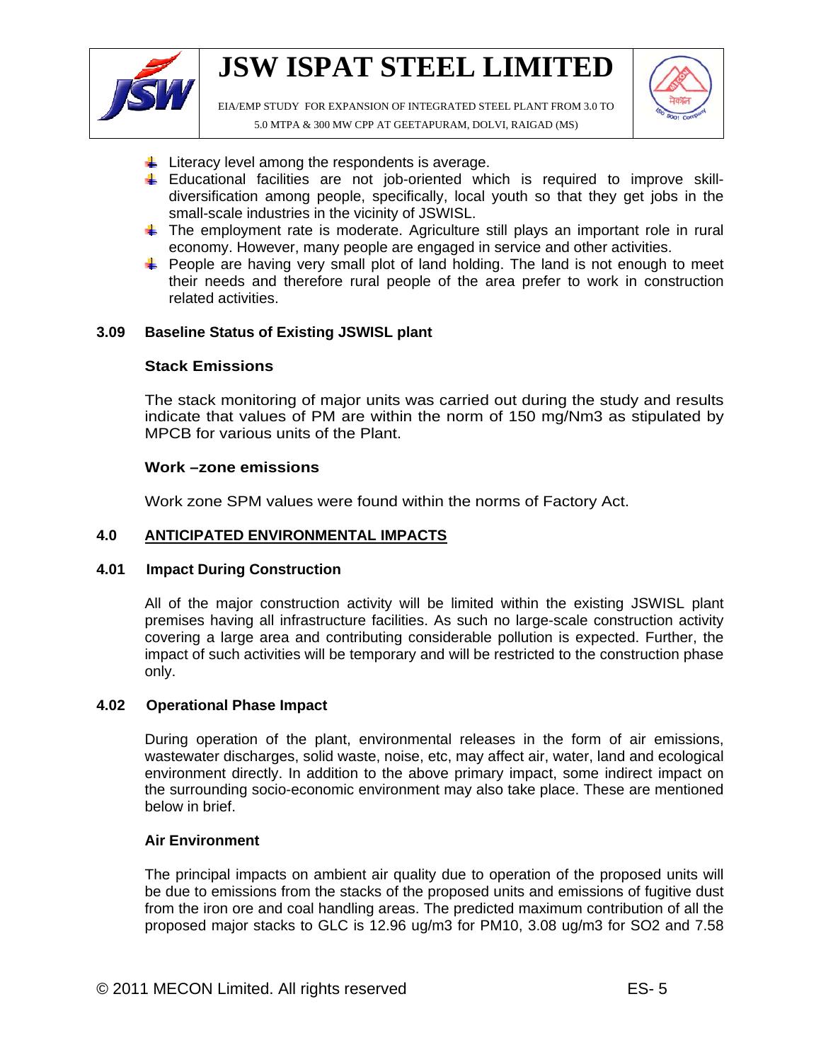

EIA/EMP STUDY FOR EXPANSION OF INTEGRATED STEEL PLANT FROM 3.0 TO 5.0 MTPA & 300 MW CPP AT GEETAPURAM, DOLVI, RAIGAD (MS)



- $\downarrow$  Literacy level among the respondents is average.
- Educational facilities are not job-oriented which is required to improve skilldiversification among people, specifically, local youth so that they get jobs in the small-scale industries in the vicinity of JSWISL.
- $\ddotmark$  The employment rate is moderate. Agriculture still plays an important role in rural economy. However, many people are engaged in service and other activities.
- **People are having very small plot of land holding. The land is not enough to meet** their needs and therefore rural people of the area prefer to work in construction related activities.

### **3.09 Baseline Status of Existing JSWISL plant**

### **Stack Emissions**

The stack monitoring of major units was carried out during the study and results indicate that values of PM are within the norm of 150 mg/Nm3 as stipulated by MPCB for various units of the Plant.

### **Work –zone emissions**

Work zone SPM values were found within the norms of Factory Act.

### **4.0 ANTICIPATED ENVIRONMENTAL IMPACTS**

### **4.01 Impact During Construction**

All of the major construction activity will be limited within the existing JSWISL plant premises having all infrastructure facilities. As such no large-scale construction activity covering a large area and contributing considerable pollution is expected. Further, the impact of such activities will be temporary and will be restricted to the construction phase only.

### **4.02 Operational Phase Impact**

During operation of the plant, environmental releases in the form of air emissions, wastewater discharges, solid waste, noise, etc, may affect air, water, land and ecological environment directly. In addition to the above primary impact, some indirect impact on the surrounding socio-economic environment may also take place. These are mentioned below in brief.

### **Air Environment**

The principal impacts on ambient air quality due to operation of the proposed units will be due to emissions from the stacks of the proposed units and emissions of fugitive dust from the iron ore and coal handling areas. The predicted maximum contribution of all the proposed major stacks to GLC is 12.96 ug/m3 for PM10, 3.08 ug/m3 for SO2 and 7.58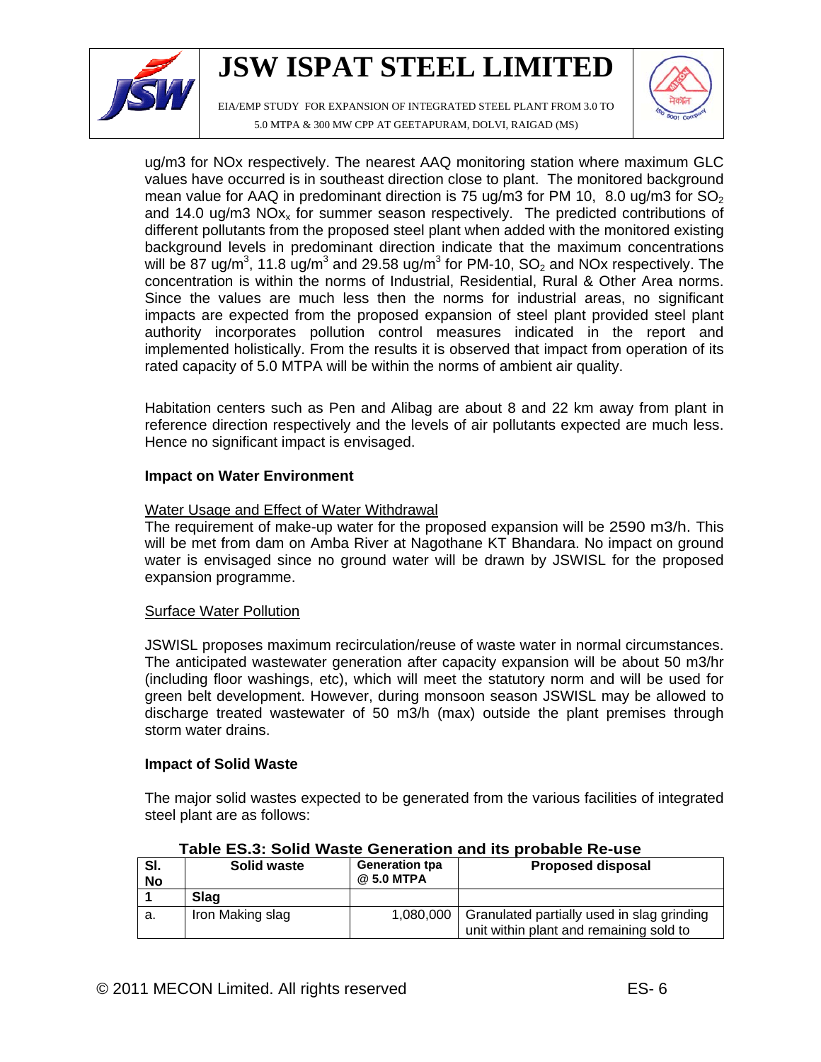

EIA/EMP STUDY FOR EXPANSION OF INTEGRATED STEEL PLANT FROM 3.0 TO 5.0 MTPA & 300 MW CPP AT GEETAPURAM, DOLVI, RAIGAD (MS)



ug/m3 for NOx respectively. The nearest AAQ monitoring station where maximum GLC values have occurred is in southeast direction close to plant. The monitored background mean value for AAQ in predominant direction is 75 ug/m3 for PM 10, 8.0 ug/m3 for  $SO<sub>2</sub>$ and 14.0 ug/m3  $NOx<sub>x</sub>$  for summer season respectively. The predicted contributions of different pollutants from the proposed steel plant when added with the monitored existing background levels in predominant direction indicate that the maximum concentrations will be 87 ug/m<sup>3</sup>, 11.8 ug/m<sup>3</sup> and 29.58 ug/m<sup>3</sup> for PM-10, SO<sub>2</sub> and NOx respectively. The concentration is within the norms of Industrial, Residential, Rural & Other Area norms. Since the values are much less then the norms for industrial areas, no significant impacts are expected from the proposed expansion of steel plant provided steel plant authority incorporates pollution control measures indicated in the report and implemented holistically. From the results it is observed that impact from operation of its rated capacity of 5.0 MTPA will be within the norms of ambient air quality.

Habitation centers such as Pen and Alibag are about 8 and 22 km away from plant in reference direction respectively and the levels of air pollutants expected are much less. Hence no significant impact is envisaged.

### **Impact on Water Environment**

## Water Usage and Effect of Water Withdrawal

The requirement of make-up water for the proposed expansion will be 2590 m3/h. This will be met from dam on Amba River at Nagothane KT Bhandara. No impact on ground water is envisaged since no ground water will be drawn by JSWISL for the proposed expansion programme.

### Surface Water Pollution

JSWISL proposes maximum recirculation/reuse of waste water in normal circumstances. The anticipated wastewater generation after capacity expansion will be about 50 m3/hr (including floor washings, etc), which will meet the statutory norm and will be used for green belt development. However, during monsoon season JSWISL may be allowed to discharge treated wastewater of 50 m3/h (max) outside the plant premises through storm water drains.

### **Impact of Solid Waste**

The major solid wastes expected to be generated from the various facilities of integrated steel plant are as follows:

| SI.<br><b>No</b> | Solid waste      | <b>Generation tpa</b><br>@ 5.0 MTPA | <b>Proposed disposal</b>                                                              |  |  |  |  |
|------------------|------------------|-------------------------------------|---------------------------------------------------------------------------------------|--|--|--|--|
|                  | Slag             |                                     |                                                                                       |  |  |  |  |
| а.               | Iron Making slag | 1,080,000                           | Granulated partially used in slag grinding<br>unit within plant and remaining sold to |  |  |  |  |

### **Table ES.3: Solid Waste Generation and its probable Re-use**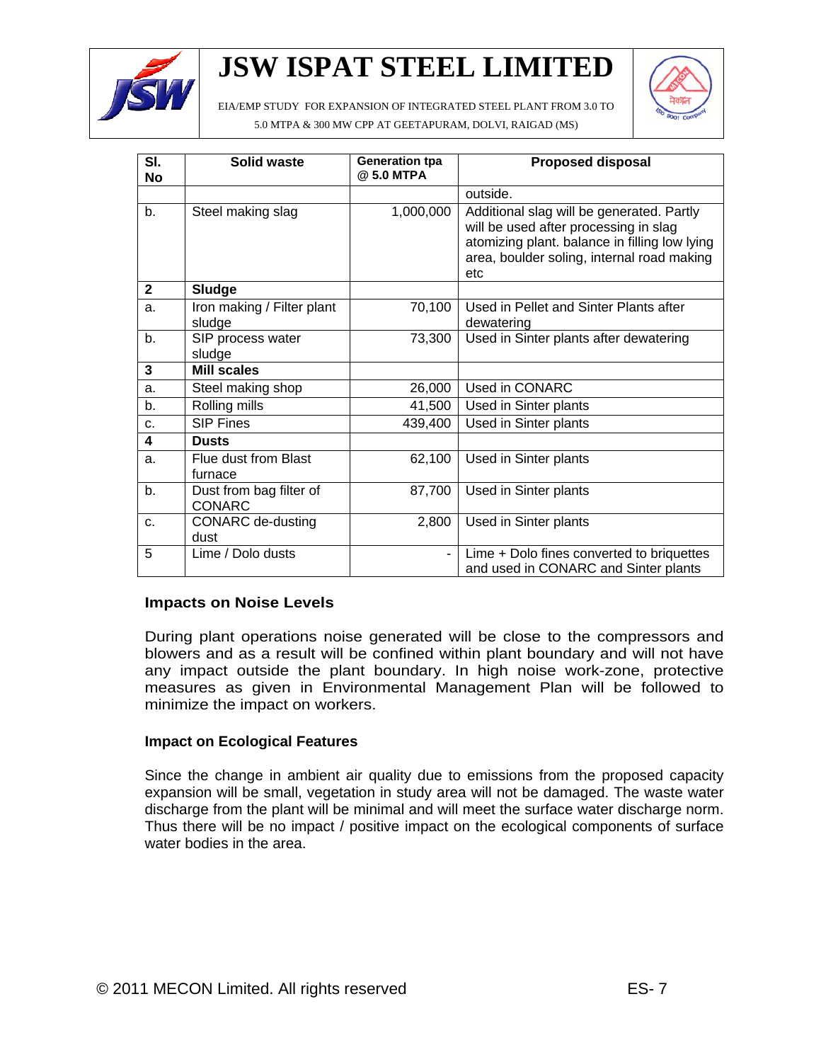

EIA/EMP STUDY FOR EXPANSION OF INTEGRATED STEEL PLANT FROM 3.0 TO



5.0 MTPA & 300 MW CPP AT GEETAPURAM, DOLVI, RAIGAD (MS)

| SI.<br><b>No</b> | Solid waste                              | <b>Generation tpa</b><br>@ 5.0 MTPA | <b>Proposed disposal</b>                                                                                                                                                                 |
|------------------|------------------------------------------|-------------------------------------|------------------------------------------------------------------------------------------------------------------------------------------------------------------------------------------|
|                  |                                          |                                     | outside.                                                                                                                                                                                 |
| b <sub>1</sub>   | Steel making slag                        | 1,000,000                           | Additional slag will be generated. Partly<br>will be used after processing in slag<br>atomizing plant. balance in filling low lying<br>area, boulder soling, internal road making<br>etc |
| $\mathbf{2}$     | Sludge                                   |                                     |                                                                                                                                                                                          |
| a.               | Iron making / Filter plant<br>sludge     | 70,100                              | Used in Pellet and Sinter Plants after<br>dewatering                                                                                                                                     |
| b <sub>1</sub>   | SIP process water<br>sludge              | 73,300                              | Used in Sinter plants after dewatering                                                                                                                                                   |
| 3                | <b>Mill scales</b>                       |                                     |                                                                                                                                                                                          |
| a.               | Steel making shop                        | 26,000                              | Used in CONARC                                                                                                                                                                           |
| b.               | Rolling mills                            | 41,500                              | Used in Sinter plants                                                                                                                                                                    |
| C <sub>1</sub>   | <b>SIP Fines</b>                         | 439,400                             | Used in Sinter plants                                                                                                                                                                    |
| 4                | <b>Dusts</b>                             |                                     |                                                                                                                                                                                          |
| a.               | Flue dust from Blast<br>furnace          | 62,100                              | Used in Sinter plants                                                                                                                                                                    |
| b <sub>1</sub>   | Dust from bag filter of<br><b>CONARC</b> | 87,700                              | Used in Sinter plants                                                                                                                                                                    |
| C <sub>1</sub>   | <b>CONARC</b> de-dusting<br>dust         | 2,800                               | Used in Sinter plants                                                                                                                                                                    |
| 5                | Lime / Dolo dusts                        |                                     | Lime + Dolo fines converted to briquettes<br>and used in CONARC and Sinter plants                                                                                                        |

## **Impacts on Noise Levels**

During plant operations noise generated will be close to the compressors and blowers and as a result will be confined within plant boundary and will not have any impact outside the plant boundary. In high noise work-zone, protective measures as given in Environmental Management Plan will be followed to minimize the impact on workers.

### **Impact on Ecological Features**

Since the change in ambient air quality due to emissions from the proposed capacity expansion will be small, vegetation in study area will not be damaged. The waste water discharge from the plant will be minimal and will meet the surface water discharge norm. Thus there will be no impact / positive impact on the ecological components of surface water bodies in the area.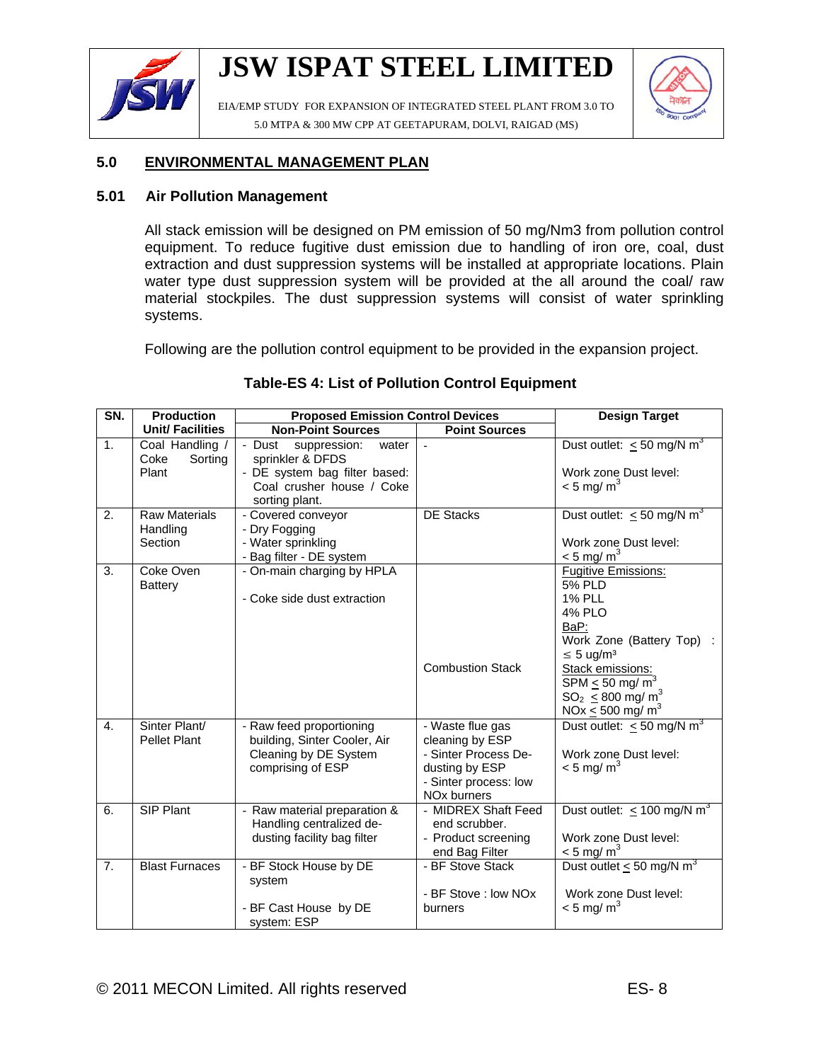

EIA/EMP STUDY FOR EXPANSION OF INTEGRATED STEEL PLANT FROM 3.0 TO 5.0 MTPA & 300 MW CPP AT GEETAPURAM, DOLVI, RAIGAD (MS)



## **5.0 ENVIRONMENTAL MANAGEMENT PLAN**

### **5.01 Air Pollution Management**

All stack emission will be designed on PM emission of 50 mg/Nm3 from pollution control equipment. To reduce fugitive dust emission due to handling of iron ore, coal, dust extraction and dust suppression systems will be installed at appropriate locations. Plain water type dust suppression system will be provided at the all around the coal/ raw material stockpiles. The dust suppression systems will consist of water sprinkling systems.

Following are the pollution control equipment to be provided in the expansion project.

| SN.              | <b>Production</b>                           | <b>Proposed Emission Control Devices</b>                                                                          | <b>Design Target</b>                                                                                                              |                                                                                                                                                                                                                                                                                   |
|------------------|---------------------------------------------|-------------------------------------------------------------------------------------------------------------------|-----------------------------------------------------------------------------------------------------------------------------------|-----------------------------------------------------------------------------------------------------------------------------------------------------------------------------------------------------------------------------------------------------------------------------------|
|                  | Unit/ Facilities                            | <b>Non-Point Sources</b>                                                                                          | <b>Point Sources</b>                                                                                                              |                                                                                                                                                                                                                                                                                   |
| 1.               | Coal Handling /<br>Sorting<br>Coke<br>Plant | water<br>- Dust<br>suppression:<br>sprinkler & DFDS<br>- DE system bag filter based:<br>Coal crusher house / Coke |                                                                                                                                   | Dust outlet: $\leq 50$ mg/N m <sup>3</sup><br>Work zone Dust level:<br>$< 5$ mg/m <sup>3</sup>                                                                                                                                                                                    |
|                  |                                             | sorting plant.                                                                                                    |                                                                                                                                   |                                                                                                                                                                                                                                                                                   |
| 2.               | <b>Raw Materials</b><br>Handling<br>Section | - Covered conveyor<br>- Dry Fogging<br>- Water sprinkling<br>- Bag filter - DE system                             | <b>DE Stacks</b>                                                                                                                  | Dust outlet: $\leq 50$ mg/N m <sup>3</sup><br>Work zone Dust level:<br>$\leq$ 5 mg/m <sup>3</sup>                                                                                                                                                                                 |
| 3.               | Coke Oven<br>Battery                        | - On-main charging by HPLA<br>- Coke side dust extraction                                                         | <b>Combustion Stack</b>                                                                                                           | <b>Fugitive Emissions:</b><br><b>5% PLD</b><br><b>1% PLL</b><br><b>4% PLO</b><br>BaP:<br>Work Zone (Battery Top)<br>$\leq 5$ ug/m <sup>3</sup><br>Stack emissions:<br>SPM $\leq$ 50 mg/ m <sup>3</sup><br>$SO_2 \leq 800$ mg/ m <sup>3</sup><br>NOx $\leq$ 500 mg/ m <sup>3</sup> |
| $\overline{4}$ . | Sinter Plant/<br><b>Pellet Plant</b>        | - Raw feed proportioning<br>building, Sinter Cooler, Air<br>Cleaning by DE System<br>comprising of ESP            | - Waste flue gas<br>cleaning by ESP<br>- Sinter Process De-<br>dusting by ESP<br>- Sinter process: low<br>NO <sub>x</sub> burners | Dust outlet: $\leq 50$ mg/N m <sup>3</sup><br>Work zone Dust level:<br>$<$ 5 mg/ m <sup>3</sup>                                                                                                                                                                                   |
| 6.               | SIP Plant                                   | - Raw material preparation &<br>Handling centralized de-<br>dusting facility bag filter                           | - MIDREX Shaft Feed<br>end scrubber.<br>- Product screening<br>end Bag Filter                                                     | Dust outlet: $\leq 100$ mg/N m <sup>3</sup><br>Work zone Dust level:<br>$< 5$ mg/m <sup>3</sup>                                                                                                                                                                                   |
| $\overline{7}$ . | <b>Blast Furnaces</b>                       | - BF Stock House by DE<br>system<br>- BF Cast House by DE<br>system: ESP                                          | - BF Stove Stack<br>- BF Stove : low NOx<br>burners                                                                               | Dust outlet $\leq$ 50 mg/N m <sup>3</sup><br>Work zone Dust level:<br>$<$ 5 mg/ m <sup>3</sup>                                                                                                                                                                                    |

### **Table-ES 4: List of Pollution Control Equipment**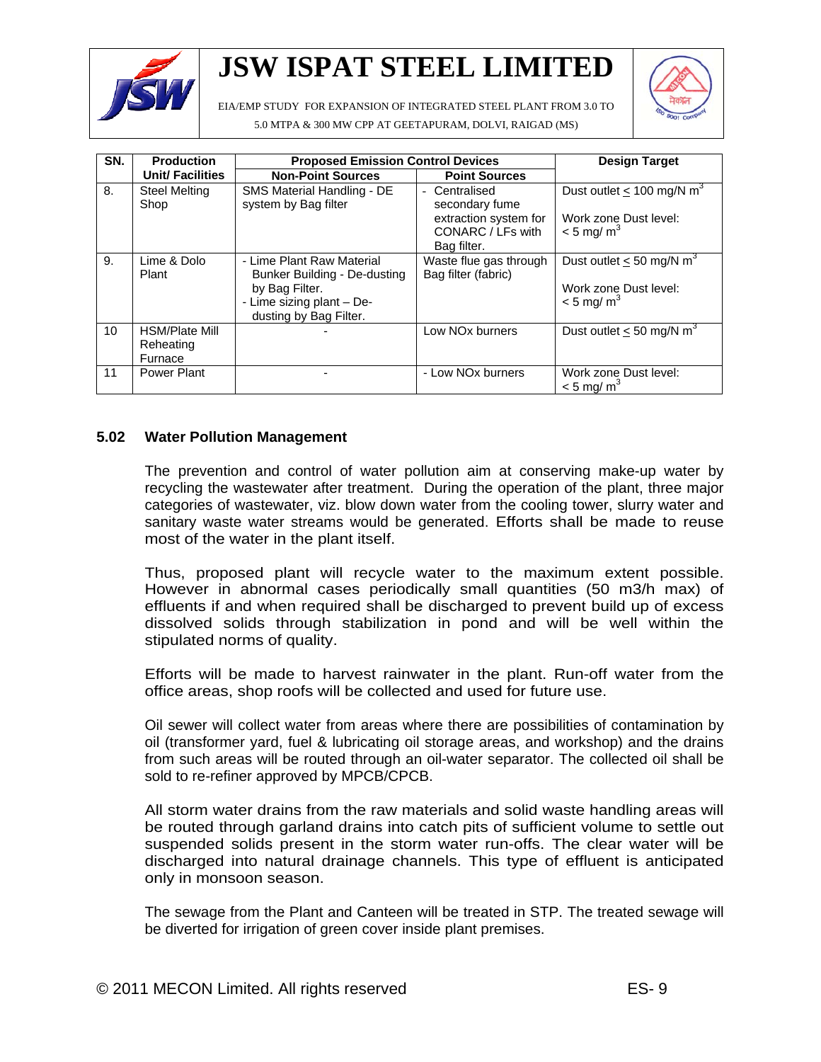

EIA/EMP STUDY FOR EXPANSION OF INTEGRATED STEEL PLANT FROM 3.0 TO



5.0 MTPA & 300 MW CPP AT GEETAPURAM, DOLVI, RAIGAD (MS)

| SN. | <b>Production</b>                             | <b>Proposed Emission Control Devices</b>                                                                                           | <b>Design Target</b>                                                                       |                                                                                               |
|-----|-----------------------------------------------|------------------------------------------------------------------------------------------------------------------------------------|--------------------------------------------------------------------------------------------|-----------------------------------------------------------------------------------------------|
|     | Unit/ Facilities                              | <b>Non-Point Sources</b>                                                                                                           | <b>Point Sources</b>                                                                       |                                                                                               |
| 8.  | <b>Steel Melting</b><br>Shop                  | SMS Material Handling - DE<br>system by Bag filter                                                                                 | Centralised<br>secondary fume<br>extraction system for<br>CONARC / LFs with<br>Bag filter. | Dust outlet < $100 \text{ mg/N m}^3$<br>Work zone Dust level:<br>$< 5$ mg/m <sup>3</sup>      |
| 9.  | Lime & Dolo<br>Plant                          | - Lime Plant Raw Material<br>Bunker Building - De-dusting<br>by Bag Filter.<br>- Lime sizing plant - De-<br>dusting by Bag Filter. | Waste flue gas through<br>Bag filter (fabric)                                              | Dust outlet $\leq 50$ mg/N m <sup>3</sup><br>Work zone Dust level:<br>$< 5$ mg/m <sup>3</sup> |
| 10  | <b>HSM/Plate Mill</b><br>Reheating<br>Furnace |                                                                                                                                    | Low NO <sub>x</sub> burners                                                                | Dust outlet $<$ 50 mg/N m <sup>3</sup>                                                        |
| 11  | Power Plant                                   |                                                                                                                                    | - Low NOx burners                                                                          | Work zone Dust level:<br>$<$ 5 mg/ m <sup>3</sup>                                             |

### **5.02 Water Pollution Management**

The prevention and control of water pollution aim at conserving make-up water by recycling the wastewater after treatment. During the operation of the plant, three major categories of wastewater, viz. blow down water from the cooling tower, slurry water and sanitary waste water streams would be generated. Efforts shall be made to reuse most of the water in the plant itself.

Thus, proposed plant will recycle water to the maximum extent possible. However in abnormal cases periodically small quantities (50 m3/h max) of effluents if and when required shall be discharged to prevent build up of excess dissolved solids through stabilization in pond and will be well within the stipulated norms of quality.

Efforts will be made to harvest rainwater in the plant. Run-off water from the office areas, shop roofs will be collected and used for future use.

Oil sewer will collect water from areas where there are possibilities of contamination by oil (transformer yard, fuel & lubricating oil storage areas, and workshop) and the drains from such areas will be routed through an oil-water separator. The collected oil shall be sold to re-refiner approved by MPCB/CPCB.

All storm water drains from the raw materials and solid waste handling areas will be routed through garland drains into catch pits of sufficient volume to settle out suspended solids present in the storm water run-offs. The clear water will be discharged into natural drainage channels. This type of effluent is anticipated only in monsoon season.

The sewage from the Plant and Canteen will be treated in STP. The treated sewage will be diverted for irrigation of green cover inside plant premises.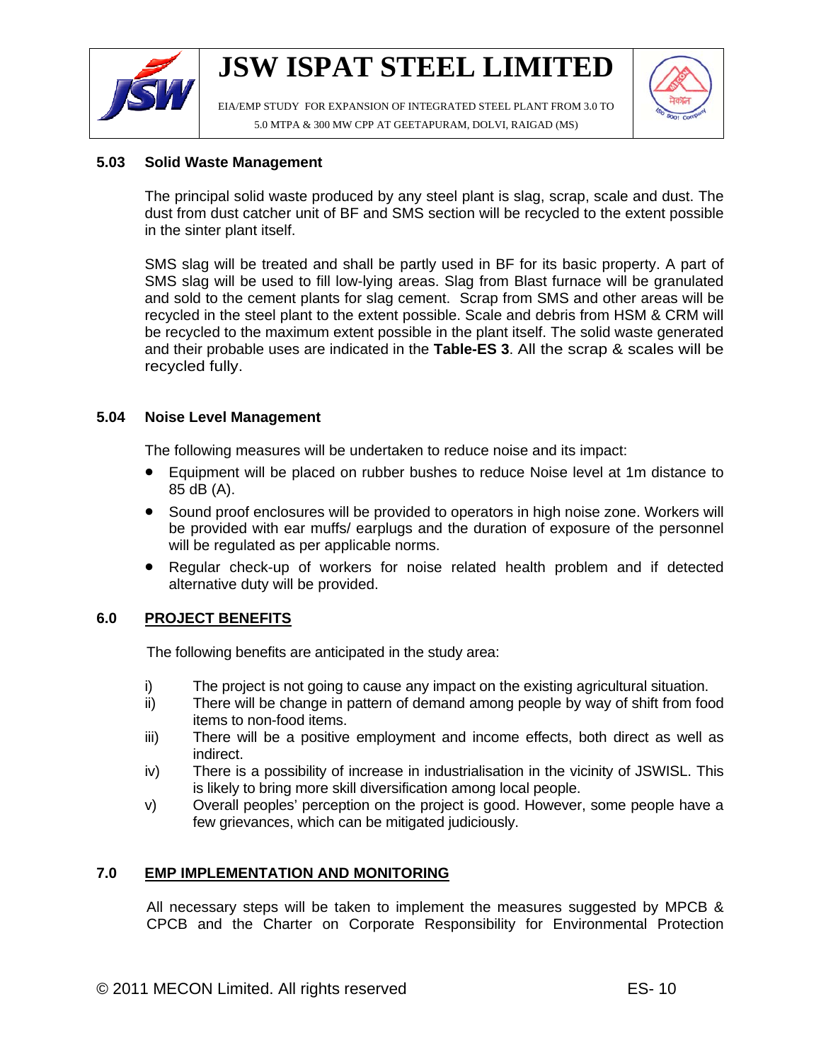

EIA/EMP STUDY FOR EXPANSION OF INTEGRATED STEEL PLANT FROM 3.0 TO 5.0 MTPA & 300 MW CPP AT GEETAPURAM, DOLVI, RAIGAD (MS)



### **5.03 Solid Waste Management**

The principal solid waste produced by any steel plant is slag, scrap, scale and dust. The dust from dust catcher unit of BF and SMS section will be recycled to the extent possible in the sinter plant itself.

SMS slag will be treated and shall be partly used in BF for its basic property. A part of SMS slag will be used to fill low-lying areas. Slag from Blast furnace will be granulated and sold to the cement plants for slag cement. Scrap from SMS and other areas will be recycled in the steel plant to the extent possible. Scale and debris from HSM & CRM will be recycled to the maximum extent possible in the plant itself. The solid waste generated and their probable uses are indicated in the **Table-ES 3**. All the scrap & scales will be recycled fully.

### **5.04 Noise Level Management**

The following measures will be undertaken to reduce noise and its impact:

- Equipment will be placed on rubber bushes to reduce Noise level at 1m distance to 85 dB (A).
- Sound proof enclosures will be provided to operators in high noise zone. Workers will be provided with ear muffs/ earplugs and the duration of exposure of the personnel will be regulated as per applicable norms.
- Regular check-up of workers for noise related health problem and if detected alternative duty will be provided.

### **6.0 PROJECT BENEFITS**

The following benefits are anticipated in the study area:

- i) The project is not going to cause any impact on the existing agricultural situation.
- ii) There will be change in pattern of demand among people by way of shift from food items to non-food items.
- iii) There will be a positive employment and income effects, both direct as well as indirect.
- iv) There is a possibility of increase in industrialisation in the vicinity of JSWISL. This is likely to bring more skill diversification among local people.
- v) Overall peoples' perception on the project is good. However, some people have a few grievances, which can be mitigated judiciously.

### **7.0 EMP IMPLEMENTATION AND MONITORING**

All necessary steps will be taken to implement the measures suggested by MPCB & CPCB and the Charter on Corporate Responsibility for Environmental Protection